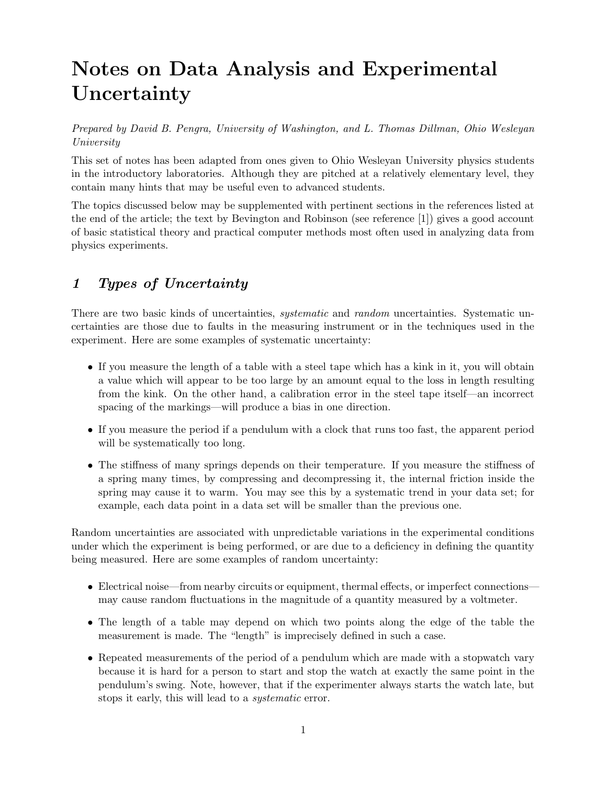# Notes on Data Analysis and Experimental Uncertainty

Prepared by David B. Pengra, University of Washington, and L. Thomas Dillman, Ohio Wesleyan University

This set of notes has been adapted from ones given to Ohio Wesleyan University physics students in the introductory laboratories. Although they are pitched at a relatively elementary level, they contain many hints that may be useful even to advanced students.

The topics discussed below may be supplemented with pertinent sections in the references listed at the end of the article; the text by Bevington and Robinson (see reference [1]) gives a good account of basic statistical theory and practical computer methods most often used in analyzing data from physics experiments.

# 1 Types of Uncertainty

There are two basic kinds of uncertainties, *systematic* and *random* uncertainties. Systematic uncertainties are those due to faults in the measuring instrument or in the techniques used in the experiment. Here are some examples of systematic uncertainty:

- If you measure the length of a table with a steel tape which has a kink in it, you will obtain a value which will appear to be too large by an amount equal to the loss in length resulting from the kink. On the other hand, a calibration error in the steel tape itself—an incorrect spacing of the markings—will produce a bias in one direction.
- If you measure the period if a pendulum with a clock that runs too fast, the apparent period will be systematically too long.
- The stiffness of many springs depends on their temperature. If you measure the stiffness of a spring many times, by compressing and decompressing it, the internal friction inside the spring may cause it to warm. You may see this by a systematic trend in your data set; for example, each data point in a data set will be smaller than the previous one.

Random uncertainties are associated with unpredictable variations in the experimental conditions under which the experiment is being performed, or are due to a deficiency in defining the quantity being measured. Here are some examples of random uncertainty:

- Electrical noise—from nearby circuits or equipment, thermal effects, or imperfect connections may cause random fluctuations in the magnitude of a quantity measured by a voltmeter.
- The length of a table may depend on which two points along the edge of the table the measurement is made. The "length" is imprecisely defined in such a case.
- Repeated measurements of the period of a pendulum which are made with a stopwatch vary because it is hard for a person to start and stop the watch at exactly the same point in the pendulum's swing. Note, however, that if the experimenter always starts the watch late, but stops it early, this will lead to a systematic error.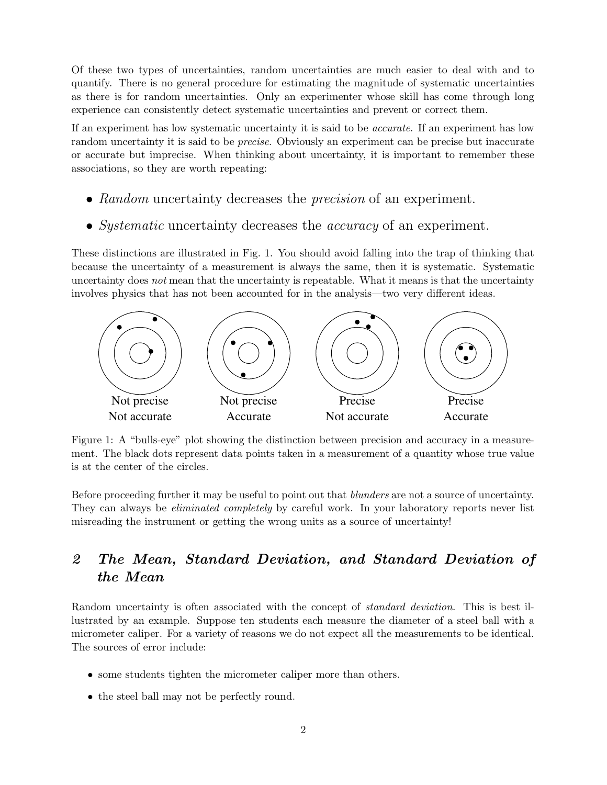Of these two types of uncertainties, random uncertainties are much easier to deal with and to quantify. There is no general procedure for estimating the magnitude of systematic uncertainties as there is for random uncertainties. Only an experimenter whose skill has come through long experience can consistently detect systematic uncertainties and prevent or correct them.

If an experiment has low systematic uncertainty it is said to be accurate. If an experiment has low random uncertainty it is said to be *precise*. Obviously an experiment can be precise but inaccurate or accurate but imprecise. When thinking about uncertainty, it is important to remember these associations, so they are worth repeating:

- Random uncertainty decreases the *precision* of an experiment.
- Systematic uncertainty decreases the *accuracy* of an experiment.

These distinctions are illustrated in Fig. 1. You should avoid falling into the trap of thinking that because the uncertainty of a measurement is always the same, then it is systematic. Systematic uncertainty does not mean that the uncertainty is repeatable. What it means is that the uncertainty involves physics that has not been accounted for in the analysis—two very different ideas.



Figure 1: A "bulls-eye" plot showing the distinction between precision and accuracy in a measurement. The black dots represent data points taken in a measurement of a quantity whose true value is at the center of the circles.

Before proceeding further it may be useful to point out that *blunders* are not a source of uncertainty. They can always be *eliminated completely* by careful work. In your laboratory reports never list misreading the instrument or getting the wrong units as a source of uncertainty!

## 2 The Mean, Standard Deviation, and Standard Deviation of the Mean

Random uncertainty is often associated with the concept of *standard deviation*. This is best illustrated by an example. Suppose ten students each measure the diameter of a steel ball with a micrometer caliper. For a variety of reasons we do not expect all the measurements to be identical. The sources of error include:

- some students tighten the micrometer caliper more than others.
- the steel ball may not be perfectly round.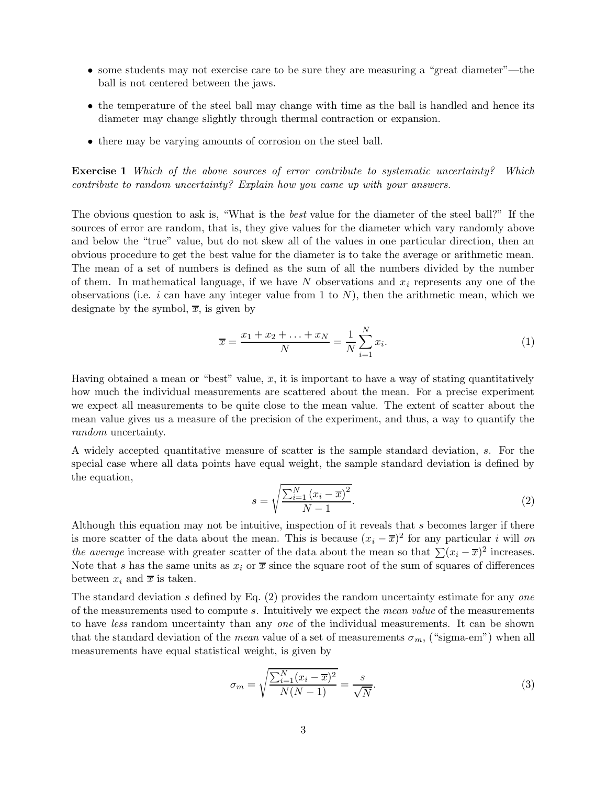- some students may not exercise care to be sure they are measuring a "great diameter"—the ball is not centered between the jaws.
- the temperature of the steel ball may change with time as the ball is handled and hence its diameter may change slightly through thermal contraction or expansion.
- there may be varying amounts of corrosion on the steel ball.

Exercise 1 Which of the above sources of error contribute to systematic uncertainty? Which contribute to random uncertainty? Explain how you came up with your answers.

The obvious question to ask is, "What is the *best* value for the diameter of the steel ball?" If the sources of error are random, that is, they give values for the diameter which vary randomly above and below the "true" value, but do not skew all of the values in one particular direction, then an obvious procedure to get the best value for the diameter is to take the average or arithmetic mean. The mean of a set of numbers is defined as the sum of all the numbers divided by the number of them. In mathematical language, if we have N observations and  $x_i$  represents any one of the observations (i.e.  $i$  can have any integer value from 1 to  $N$ ), then the arithmetic mean, which we designate by the symbol,  $\overline{x}$ , is given by

$$
\overline{x} = \frac{x_1 + x_2 + \dots + x_N}{N} = \frac{1}{N} \sum_{i=1}^{N} x_i.
$$
 (1)

Having obtained a mean or "best" value,  $\overline{x}$ , it is important to have a way of stating quantitatively how much the individual measurements are scattered about the mean. For a precise experiment we expect all measurements to be quite close to the mean value. The extent of scatter about the mean value gives us a measure of the precision of the experiment, and thus, a way to quantify the random uncertainty.

A widely accepted quantitative measure of scatter is the sample standard deviation, s. For the special case where all data points have equal weight, the sample standard deviation is defined by the equation,

$$
s = \sqrt{\frac{\sum_{i=1}^{N} (x_i - \overline{x})^2}{N - 1}}.
$$
\n(2)

Although this equation may not be intuitive, inspection of it reveals that s becomes larger if there is more scatter of the data about the mean. This is because  $(x_i - \overline{x})^2$  for any particular i will on the average increase with greater scatter of the data about the mean so that  $\sum (x_i - \overline{x})^2$  increases. Note that s has the same units as  $x_i$  or  $\overline{x}$  since the square root of the sum of squares of differences between  $x_i$  and  $\overline{x}$  is taken.

The standard deviation s defined by Eq. (2) provides the random uncertainty estimate for any one of the measurements used to compute s. Intuitively we expect the mean value of the measurements to have *less* random uncertainty than any *one* of the individual measurements. It can be shown that the standard deviation of the *mean* value of a set of measurements  $\sigma_m$ , ("sigma-em") when all measurements have equal statistical weight, is given by

$$
\sigma_m = \sqrt{\frac{\sum_{i=1}^N (x_i - \overline{x})^2}{N(N-1)}} = \frac{s}{\sqrt{N}}.
$$
\n(3)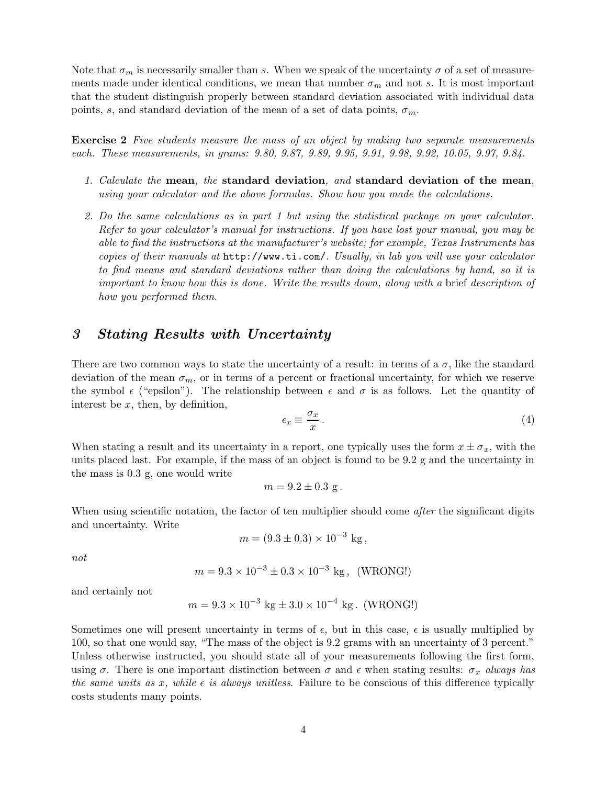Note that  $\sigma_m$  is necessarily smaller than s. When we speak of the uncertainty  $\sigma$  of a set of measurements made under identical conditions, we mean that number  $\sigma_m$  and not s. It is most important that the student distinguish properly between standard deviation associated with individual data points, s, and standard deviation of the mean of a set of data points,  $\sigma_m$ .

Exercise 2 Five students measure the mass of an object by making two separate measurements each. These measurements, in grams: 9.80, 9.87, 9.89, 9.95, 9.91, 9.98, 9.92, 10.05, 9.97, 9.84.

- 1. Calculate the mean, the standard deviation, and standard deviation of the mean, using your calculator and the above formulas. Show how you made the calculations.
- 2. Do the same calculations as in part 1 but using the statistical package on your calculator. Refer to your calculator's manual for instructions. If you have lost your manual, you may be able to find the instructions at the manufacturer's website; for example, Texas Instruments has copies of their manuals at http://www.ti.com/. Usually, in lab you will use your calculator to find means and standard deviations rather than doing the calculations by hand, so it is important to know how this is done. Write the results down, along with a brief description of how you performed them.

#### 3 Stating Results with Uncertainty

There are two common ways to state the uncertainty of a result: in terms of a  $\sigma$ , like the standard deviation of the mean  $\sigma_m$ , or in terms of a percent or fractional uncertainty, for which we reserve the symbol  $\epsilon$  ("epsilon"). The relationship between  $\epsilon$  and  $\sigma$  is as follows. Let the quantity of interest be  $x$ , then, by definition,

$$
\epsilon_x \equiv \frac{\sigma_x}{x} \,. \tag{4}
$$

When stating a result and its uncertainty in a report, one typically uses the form  $x \pm \sigma_x$ , with the units placed last. For example, if the mass of an object is found to be 9.2 g and the uncertainty in the mass is 0.3 g, one would write

$$
m = 9.2 \pm 0.3
$$
 g.

When using scientific notation, the factor of ten multiplier should come *after* the significant digits and uncertainty. Write

$$
m = (9.3 \pm 0.3) \times 10^{-3} \text{ kg},
$$

not

$$
m = 9.3 \times 10^{-3} \pm 0.3 \times 10^{-3}
$$
 kg, (WRONG!)

and certainly not

$$
m = 9.3 \times 10^{-3}
$$
 kg  $\pm 3.0 \times 10^{-4}$  kg. (WRONG!)

Sometimes one will present uncertainty in terms of  $\epsilon$ , but in this case,  $\epsilon$  is usually multiplied by 100, so that one would say, "The mass of the object is 9.2 grams with an uncertainty of 3 percent." Unless otherwise instructed, you should state all of your measurements following the first form, using  $\sigma$ . There is one important distinction between  $\sigma$  and  $\epsilon$  when stating results:  $\sigma_x$  always has the same units as x, while  $\epsilon$  is always unitless. Failure to be conscious of this difference typically costs students many points.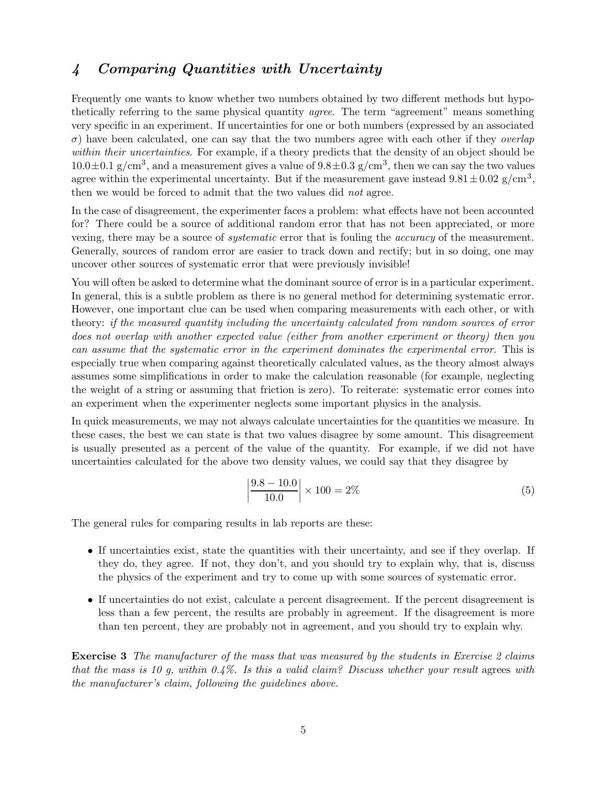#### 4 Comparing Quantities with Uncertainty

Frequently one wants to know whether two numbers obtained by two different methods but hypothetically referring to the same physical quantity *agree*. The term "agreement" means something very specific in an experiment. If uncertainties for one or both numbers (expressed by an associated  $\sigma$ ) have been calculated, one can say that the two numbers agree with each other if they *overlap* within their uncertainties. For example, if a theory predicts that the density of an object should be  $10.0 \pm 0.1$  g/cm<sup>3</sup>, and a measurement gives a value of  $9.8 \pm 0.3$  g/cm<sup>3</sup>, then we can say the two values agree within the experimental uncertainty. But if the measurement gave instead  $9.81 \pm 0.02$  g/cm<sup>3</sup>, then we would be forced to admit that the two values did not agree.

In the case of disagreement, the experimenter faces a problem: what effects have not been accounted for? There could be a source of additional random error that has not been appreciated, or more vexing, there may be a source of systematic error that is fouling the accuracy of the measurement. Generally, sources of random error are easier to track down and rectify; but in so doing, one may uncover other sources of systematic error that were previously invisible!

You will often be asked to determine what the dominant source of error is in a particular experiment. In general, this is a subtle problem as there is no general method for determining systematic error. However, one important clue can be used when comparing measurements with each other, or with theory: if the measured quantity including the uncertainty calculated from random sources of error does not overlap with another expected value (either from another experiment or theory) then you can assume that the systematic error in the experiment dominates the experimental error. This is especially true when comparing against theoretically calculated values, as the theory almost always assumes some simplifications in order to make the calculation reasonable (for example, neglecting the weight of a string or assuming that friction is zero). To reiterate: systematic error comes into an experiment when the experimenter neglects some important physics in the analysis.

In quick measurements, we may not always calculate uncertainties for the quantities we measure. In these cases, the best we can state is that two values disagree by some amount. This disagreement is usually presented as a percent of the value of the quantity. For example, if we did not have uncertainties calculated for the above two density values, we could say that they disagree by

$$
\left|\frac{9.8 - 10.0}{10.0}\right| \times 100 = 2\% \tag{5}
$$

The general rules for comparing results in lab reports are these:

- If uncertainties exist, state the quantities with their uncertainty, and see if they overlap. If they do, they agree. If not, they don't, and you should try to explain why, that is, discuss the physics of the experiment and try to come up with some sources of systematic error.
- If uncertainties do not exist, calculate a percent disagreement. If the percent disagreement is less than a few percent, the results are probably in agreement. If the disagreement is more than ten percent, they are probably not in agreement, and you should try to explain why.

**Exercise 3** The manufacturer of the mass that was measured by the students in Exercise 2 claims that the mass is 10 g, within  $0.4\%$ . Is this a valid claim? Discuss whether your result agrees with the manufacturer's claim, following the guidelines above.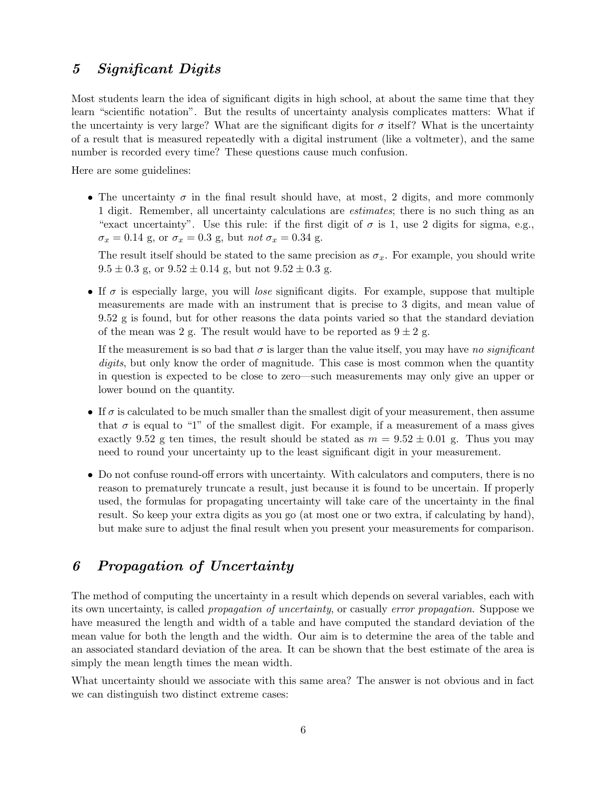### 5 Significant Digits

Most students learn the idea of significant digits in high school, at about the same time that they learn "scientific notation". But the results of uncertainty analysis complicates matters: What if the uncertainty is very large? What are the significant digits for  $\sigma$  itself? What is the uncertainty of a result that is measured repeatedly with a digital instrument (like a voltmeter), and the same number is recorded every time? These questions cause much confusion.

Here are some guidelines:

• The uncertainty  $\sigma$  in the final result should have, at most, 2 digits, and more commonly 1 digit. Remember, all uncertainty calculations are estimates; there is no such thing as an "exact uncertainty". Use this rule: if the first digit of  $\sigma$  is 1, use 2 digits for sigma, e.g.,  $\sigma_x = 0.14$  g, or  $\sigma_x = 0.3$  g, but not  $\sigma_x = 0.34$  g.

The result itself should be stated to the same precision as  $\sigma_x$ . For example, you should write  $9.5 \pm 0.3$  g, or  $9.52 \pm 0.14$  g, but not  $9.52 \pm 0.3$  g.

• If  $\sigma$  is especially large, you will lose significant digits. For example, suppose that multiple measurements are made with an instrument that is precise to 3 digits, and mean value of 9.52 g is found, but for other reasons the data points varied so that the standard deviation of the mean was 2 g. The result would have to be reported as  $9 \pm 2$  g.

If the measurement is so bad that  $\sigma$  is larger than the value itself, you may have no significant digits, but only know the order of magnitude. This case is most common when the quantity in question is expected to be close to zero—such measurements may only give an upper or lower bound on the quantity.

- If  $\sigma$  is calculated to be much smaller than the smallest digit of your measurement, then assume that  $\sigma$  is equal to "1" of the smallest digit. For example, if a measurement of a mass gives exactly 9.52 g ten times, the result should be stated as  $m = 9.52 \pm 0.01$  g. Thus you may need to round your uncertainty up to the least significant digit in your measurement.
- Do not confuse round-off errors with uncertainty. With calculators and computers, there is no reason to prematurely truncate a result, just because it is found to be uncertain. If properly used, the formulas for propagating uncertainty will take care of the uncertainty in the final result. So keep your extra digits as you go (at most one or two extra, if calculating by hand), but make sure to adjust the final result when you present your measurements for comparison.

## 6 Propagation of Uncertainty

The method of computing the uncertainty in a result which depends on several variables, each with its own uncertainty, is called propagation of uncertainty, or casually error propagation. Suppose we have measured the length and width of a table and have computed the standard deviation of the mean value for both the length and the width. Our aim is to determine the area of the table and an associated standard deviation of the area. It can be shown that the best estimate of the area is simply the mean length times the mean width.

What uncertainty should we associate with this same area? The answer is not obvious and in fact we can distinguish two distinct extreme cases: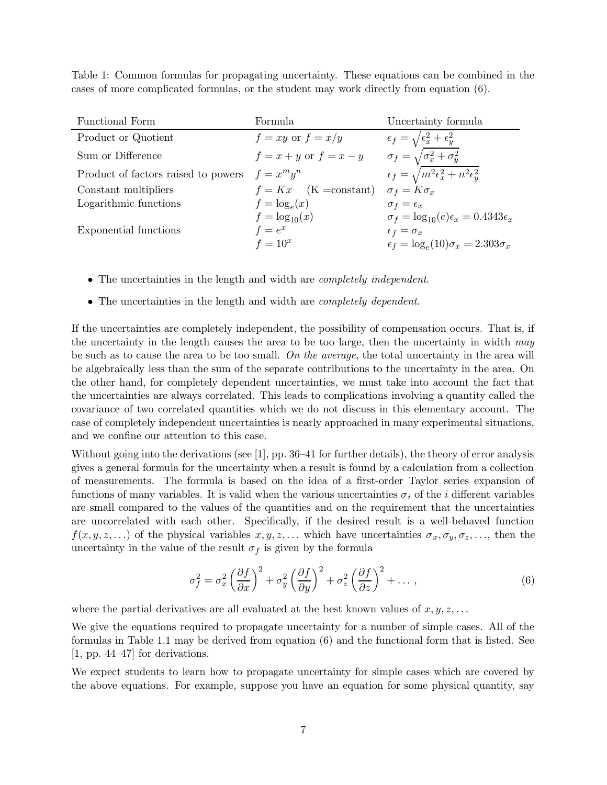Table 1: Common formulas for propagating uncertainty. These equations can be combined in the cases of more complicated formulas, or the student may work directly from equation (6).

| Functional Form                     | Formula                    | Uncertainty formula                                       |
|-------------------------------------|----------------------------|-----------------------------------------------------------|
| Product or Quotient                 | $f = xy$ or $f = x/y$      | $\epsilon_f = \sqrt{\epsilon_x^2 + \epsilon_y^2}$         |
| Sum or Difference                   | $f = x + y$ or $f = x - y$ | $\sigma_f = \sqrt{\sigma_x^2 + \sigma_y^2}$               |
| Product of factors raised to powers | $f = x^m y^n$              | $\epsilon_f = \sqrt{m^2 \epsilon_x^2 + n^2 \epsilon_y^2}$ |
| Constant multipliers                | $f = Kx$ (K = constant)    | $\sigma_f = K \sigma_x$                                   |
| Logarithmic functions               | $f = \log_e(x)$            | $\sigma_f = \epsilon_x$                                   |
|                                     | $f = log_{10}(x)$          | $\sigma_f = \log_{10}(e) \epsilon_x = 0.4343 \epsilon_x$  |
| Exponential functions               | $f=e^x$                    | $\epsilon_f = \sigma_x$                                   |
|                                     | $f=10^x$                   | $\epsilon_f = \log_e(10)\sigma_x = 2.303\sigma_x$         |

- The uncertainties in the length and width are *completely independent*.
- The uncertainties in the length and width are *completely dependent*.

If the uncertainties are completely independent, the possibility of compensation occurs. That is, if the uncertainty in the length causes the area to be too large, then the uncertainty in width  $may$ be such as to cause the area to be too small. On the average, the total uncertainty in the area will be algebraically less than the sum of the separate contributions to the uncertainty in the area. On the other hand, for completely dependent uncertainties, we must take into account the fact that the uncertainties are always correlated. This leads to complications involving a quantity called the covariance of two correlated quantities which we do not discuss in this elementary account. The case of completely independent uncertainties is nearly approached in many experimental situations, and we confine our attention to this case.

Without going into the derivations (see [1], pp. 36–41 for further details), the theory of error analysis gives a general formula for the uncertainty when a result is found by a calculation from a collection of measurements. The formula is based on the idea of a first-order Taylor series expansion of functions of many variables. It is valid when the various uncertainties  $\sigma_i$  of the *i* different variables are small compared to the values of the quantities and on the requirement that the uncertainties are uncorrelated with each other. Specifically, if the desired result is a well-behaved function  $f(x, y, z, \ldots)$  of the physical variables  $x, y, z, \ldots$  which have uncertainties  $\sigma_x, \sigma_y, \sigma_z, \ldots$ , then the uncertainty in the value of the result  $\sigma_f$  is given by the formula

$$
\sigma_f^2 = \sigma_x^2 \left(\frac{\partial f}{\partial x}\right)^2 + \sigma_y^2 \left(\frac{\partial f}{\partial y}\right)^2 + \sigma_z^2 \left(\frac{\partial f}{\partial z}\right)^2 + \dots,
$$
\n(6)

where the partial derivatives are all evaluated at the best known values of  $x, y, z, \ldots$ 

We give the equations required to propagate uncertainty for a number of simple cases. All of the formulas in Table 1.1 may be derived from equation (6) and the functional form that is listed. See [1, pp. 44–47] for derivations.

We expect students to learn how to propagate uncertainty for simple cases which are covered by the above equations. For example, suppose you have an equation for some physical quantity, say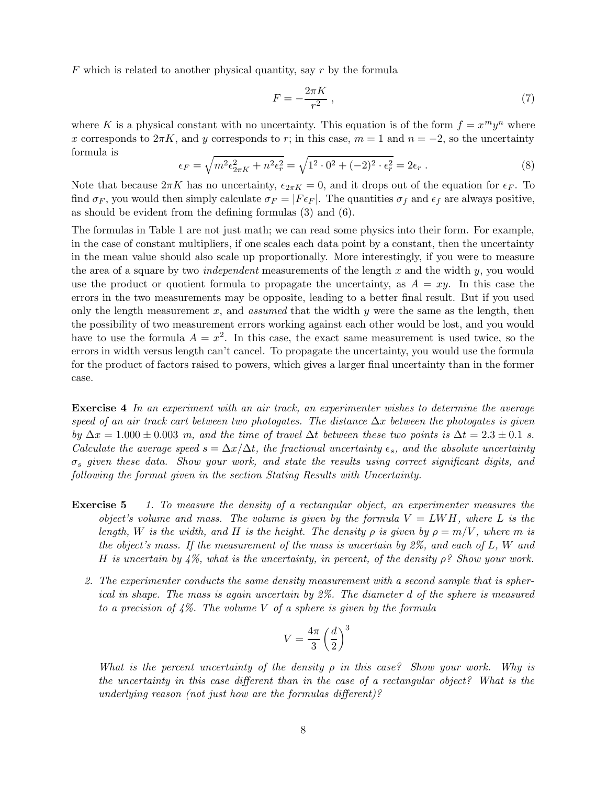$F$  which is related to another physical quantity, say  $r$  by the formula

$$
F = -\frac{2\pi K}{r^2} \,,\tag{7}
$$

where K is a physical constant with no uncertainty. This equation is of the form  $f = x^m y^n$  where x corresponds to  $2\pi K$ , and y corresponds to r; in this case,  $m = 1$  and  $n = -2$ , so the uncertainty formula is

$$
\epsilon_F = \sqrt{m^2 \epsilon_{2\pi K}^2 + n^2 \epsilon_r^2} = \sqrt{1^2 \cdot 0^2 + (-2)^2 \cdot \epsilon_r^2} = 2\epsilon_r \ . \tag{8}
$$

Note that because  $2\pi K$  has no uncertainty,  $\epsilon_{2\pi K} = 0$ , and it drops out of the equation for  $\epsilon_F$ . To find  $\sigma_F$ , you would then simply calculate  $\sigma_F = |F \epsilon_F|$ . The quantities  $\sigma_f$  and  $\epsilon_f$  are always positive, as should be evident from the defining formulas (3) and (6).

The formulas in Table 1 are not just math; we can read some physics into their form. For example, in the case of constant multipliers, if one scales each data point by a constant, then the uncertainty in the mean value should also scale up proportionally. More interestingly, if you were to measure the area of a square by two *independent* measurements of the length x and the width y, you would use the product or quotient formula to propagate the uncertainty, as  $A = xy$ . In this case the errors in the two measurements may be opposite, leading to a better final result. But if you used only the length measurement x, and assumed that the width y were the same as the length, then the possibility of two measurement errors working against each other would be lost, and you would have to use the formula  $A = x^2$ . In this case, the exact same measurement is used twice, so the errors in width versus length can't cancel. To propagate the uncertainty, you would use the formula for the product of factors raised to powers, which gives a larger final uncertainty than in the former case.

Exercise 4 In an experiment with an air track, an experimenter wishes to determine the average speed of an air track cart between two photogates. The distance  $\Delta x$  between the photogates is given by  $\Delta x = 1.000 \pm 0.003$  m, and the time of travel  $\Delta t$  between these two points is  $\Delta t = 2.3 \pm 0.1$  s. Calculate the average speed  $s = \Delta x/\Delta t$ , the fractional uncertainty  $\epsilon_s$ , and the absolute uncertainty  $\sigma_s$  given these data. Show your work, and state the results using correct significant digits, and following the format given in the section Stating Results with Uncertainty.

- Exercise 5 1. To measure the density of a rectangular object, an experimenter measures the object's volume and mass. The volume is given by the formula  $V = LWH$ , where L is the length, W is the width, and H is the height. The density  $\rho$  is given by  $\rho = m/V$ , where m is the object's mass. If the measurement of the mass is uncertain by  $2\%$ , and each of L, W and H is uncertain by  $4\%$ , what is the uncertainty, in percent, of the density  $\rho$ ? Show your work.
	- 2. The experimenter conducts the same density measurement with a second sample that is spherical in shape. The mass is again uncertain by 2%. The diameter d of the sphere is measured to a precision of  $4\%$ . The volume V of a sphere is given by the formula

$$
V = \frac{4\pi}{3} \left(\frac{d}{2}\right)^3
$$

What is the percent uncertainty of the density  $\rho$  in this case? Show your work. Why is the uncertainty in this case different than in the case of a rectangular object? What is the underlying reason (not just how are the formulas different)?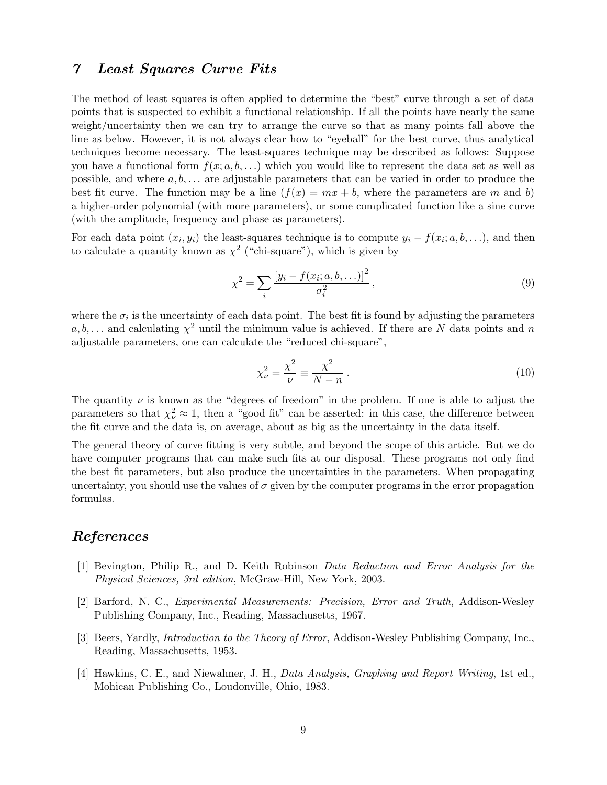#### 7 Least Squares Curve Fits

The method of least squares is often applied to determine the "best" curve through a set of data points that is suspected to exhibit a functional relationship. If all the points have nearly the same weight/uncertainty then we can try to arrange the curve so that as many points fall above the line as below. However, it is not always clear how to "eyeball" for the best curve, thus analytical techniques become necessary. The least-squares technique may be described as follows: Suppose you have a functional form  $f(x; a, b, \ldots)$  which you would like to represent the data set as well as possible, and where  $a, b, \ldots$  are adjustable parameters that can be varied in order to produce the best fit curve. The function may be a line  $(f(x) = mx + b$ , where the parameters are m and b) a higher-order polynomial (with more parameters), or some complicated function like a sine curve (with the amplitude, frequency and phase as parameters).

For each data point  $(x_i, y_i)$  the least-squares technique is to compute  $y_i - f(x_i; a, b, \ldots)$ , and then to calculate a quantity known as  $\chi^2$  ("chi-square"), which is given by

$$
\chi^2 = \sum_{i} \frac{[y_i - f(x_i; a, b, \ldots)]^2}{\sigma_i^2},\tag{9}
$$

where the  $\sigma_i$  is the uncertainty of each data point. The best fit is found by adjusting the parameters  $a, b, \ldots$  and calculating  $\chi^2$  until the minimum value is achieved. If there are N data points and n adjustable parameters, one can calculate the "reduced chi-square",

$$
\chi_{\nu}^2 = \frac{\chi^2}{\nu} \equiv \frac{\chi^2}{N - n} \,. \tag{10}
$$

The quantity  $\nu$  is known as the "degrees of freedom" in the problem. If one is able to adjust the parameters so that  $\chi^2_{\nu} \approx 1$ , then a "good fit" can be asserted: in this case, the difference between the fit curve and the data is, on average, about as big as the uncertainty in the data itself.

The general theory of curve fitting is very subtle, and beyond the scope of this article. But we do have computer programs that can make such fits at our disposal. These programs not only find the best fit parameters, but also produce the uncertainties in the parameters. When propagating uncertainty, you should use the values of  $\sigma$  given by the computer programs in the error propagation formulas.

#### References

- [1] Bevington, Philip R., and D. Keith Robinson Data Reduction and Error Analysis for the Physical Sciences, 3rd edition, McGraw-Hill, New York, 2003.
- [2] Barford, N. C., Experimental Measurements: Precision, Error and Truth, Addison-Wesley Publishing Company, Inc., Reading, Massachusetts, 1967.
- [3] Beers, Yardly, Introduction to the Theory of Error, Addison-Wesley Publishing Company, Inc., Reading, Massachusetts, 1953.
- [4] Hawkins, C. E., and Niewahner, J. H., Data Analysis, Graphing and Report Writing, 1st ed., Mohican Publishing Co., Loudonville, Ohio, 1983.